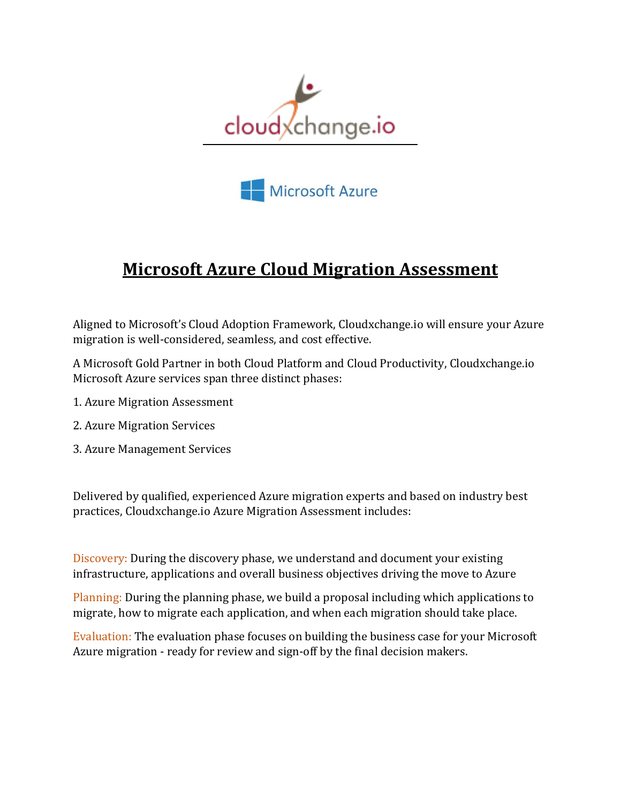



## **Microsoft Azure Cloud Migration Assessment**

Aligned to Microsoft's Cloud Adoption Framework, Cloudxchange.io will ensure your Azure migration is well-considered, seamless, and cost effective.

A Microsoft Gold Partner in both Cloud Platform and Cloud Productivity, Cloudxchange.io Microsoft Azure services span three distinct phases:

- 1. Azure Migration Assessment
- 2. Azure Migration Services
- 3. Azure Management Services

Delivered by qualified, experienced Azure migration experts and based on industry best practices, Cloudxchange.io Azure Migration Assessment includes:

Discovery: During the discovery phase, we understand and document your existing infrastructure, applications and overall business objectives driving the move to Azure

Planning: During the planning phase, we build a proposal including which applications to migrate, how to migrate each application, and when each migration should take place.

Evaluation: The evaluation phase focuses on building the business case for your Microsoft Azure migration - ready for review and sign-off by the final decision makers.